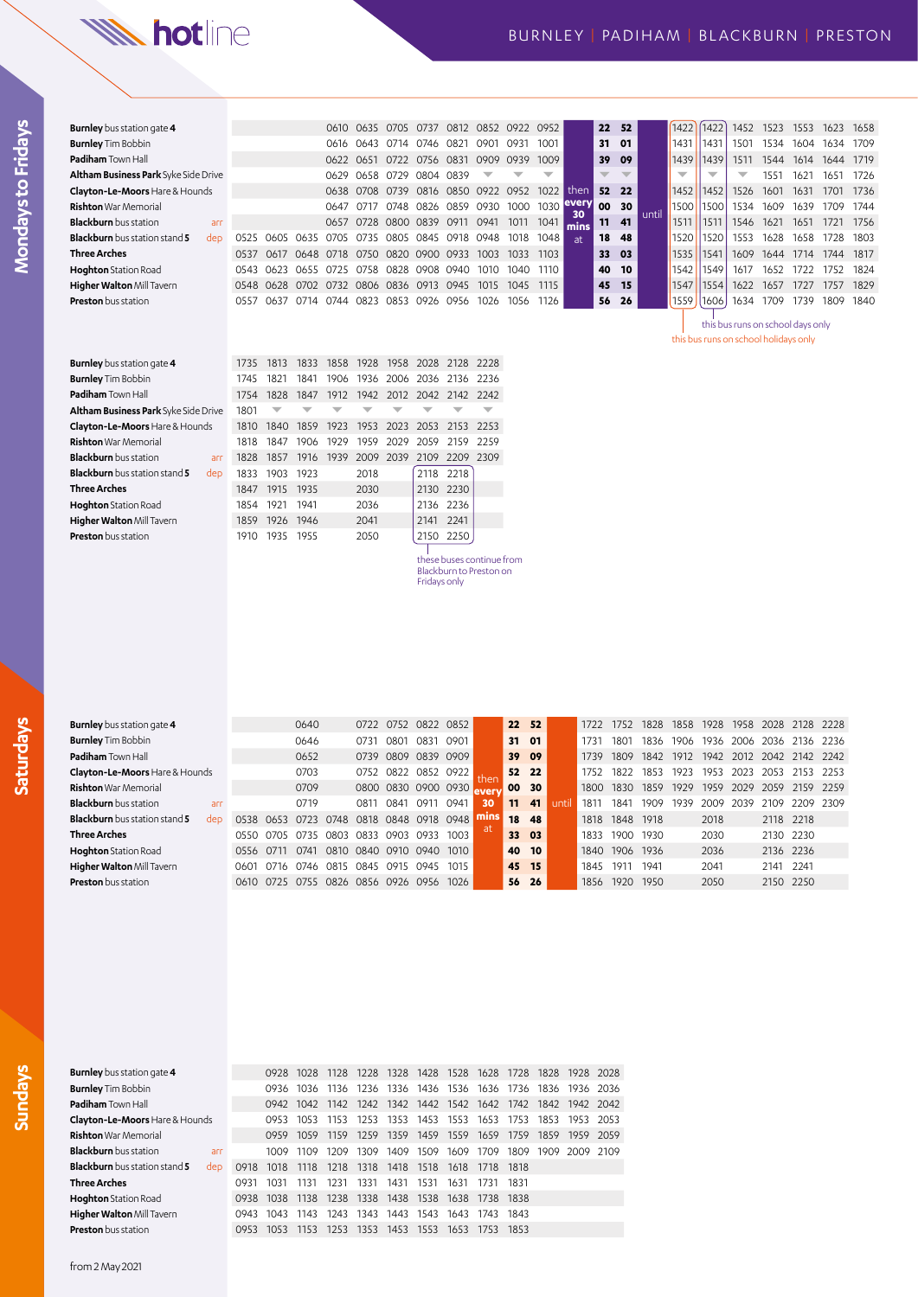## **W. hotline**

| <b>Burnley</b> bus station gate 4           |      |               |      | 0610                               | 0635      | 0705           | 0737           | 0812           |                          | 0852 0922 | 0952       |      | 22 | 52   |       | 1422                     | 1422 | 1452                                                                       | 1523 | 1553 | 1623 1658 |      |
|---------------------------------------------|------|---------------|------|------------------------------------|-----------|----------------|----------------|----------------|--------------------------|-----------|------------|------|----|------|-------|--------------------------|------|----------------------------------------------------------------------------|------|------|-----------|------|
| <b>Burnley</b> Tim Bobbin                   |      |               |      | 0616                               | 0643      | 0714           | 0746 0821      |                | 0901                     | 0931      | 1001       |      | 31 | 01   |       | 1431                     | 1431 | 1501                                                                       | 1534 | 1604 | 1634 1709 |      |
| <b>Padiham</b> Town Hall                    |      |               |      | 0622 0651                          |           |                | 0722 0756 0831 |                | 0909 0939                |           | 1009       |      | 39 | - 09 |       | 1439                     | 1439 | 1511                                                                       | 1544 | 1614 | 1644 1719 |      |
| <b>Altham Business Park</b> Syke Side Drive |      |               |      | 0629                               | 0658      | 0729           | 0804 0839      |                |                          |           | ▼          |      |    |      |       | $\overline{\phantom{a}}$ |      | ↽                                                                          | 1551 | 1621 | 1651      | 1726 |
| Clayton-Le-Moors Hare & Hounds              |      |               |      |                                    | 0638 0708 |                |                |                | 0739 0816 0850 0922 0952 |           | 1022       | then | 52 | 22   |       | 1452                     | 1452 | 1526                                                                       | 1601 | 1631 | 1701      | 1736 |
| <b>Rishton</b> War Memorial                 |      |               |      | 0647                               | 0717      |                | 0748 0826 0859 |                | 0930                     | 1000      | 1030 every | 30   | 00 | 30   | until | 1500                     | 1500 | 1534                                                                       | 1609 | 1639 | 1709      | 1744 |
| <b>Blackburn</b> bus station<br>arr         |      |               |      | 0657                               | 0728      | 0800           | 0839           | 0911           | 0941                     | 1011      | 1041       | mins | 11 | 41   |       | 1511                     | 1511 | 1546                                                                       | 1621 | 1651 | 1721      | 1756 |
| <b>Blackburn</b> bus station stand 5<br>dep | 0525 | 0605          | 0635 | 0705                               | 0735      |                |                | 0805 0845 0918 | 0948                     | 1018      | 1048       | at   | 18 | 48   |       | 1520                     | 1520 | 1553                                                                       | 1628 | 1658 | 1728      | 1803 |
| Three Arches                                | 0537 | 0617          | 0648 | 0718                               | 0750      | 0820 0900 0933 |                |                | 1003                     | 1033      | 1103       |      | 33 | - 03 |       | 1535                     | 1541 | 1609                                                                       | 1644 | 1714 | 1744      | 1817 |
| <b>Hoghton</b> Station Road                 | 0543 | 0623          |      | 0655 0725                          | 0758      |                |                | 0828 0908 0940 | 1010                     | 1040      | 1110       |      | 40 | 10   |       | 1542                     | 1549 | 1617                                                                       | 1652 | 1722 | 1752      | 1824 |
| Higher Walton Mill Tavern                   |      | 0548 0628     | 0702 | 0732 0806 0836 0913 0945           |           |                |                |                | 1015                     | 1045      | 1115       |      | 45 | - 15 |       | 1547                     | 1554 | 1622                                                                       | 1657 | 1727 | 1757      | 1829 |
| <b>Preston</b> bus station                  | 0557 | 0637          | 0714 | 0744                               | 0823      | 0853           | 0926 0956      |                | 1026                     | 1056      | 1126       |      | 56 | -26  |       | 1559                     | 1606 | 1634                                                                       | 1709 | 1739 | 1809      | 1840 |
|                                             |      |               |      |                                    |           |                |                |                |                          |           |            |      |    |      |       |                          |      | this bus runs on school days only<br>this bus runs on school holidays only |      |      |           |      |
| _ _ _ _ _ _ _ _ _ _                         |      | $1705$ $1010$ |      | 1000 1050 1000 1050 0000 0100 0000 |           |                |                |                |                          |           |            |      |    |      |       |                          |      |                                                                            |      |      |           |      |

| <b>Burnley</b> bus station gate 4           | 1735  | 1813      | 1833 |      |      | 1858 1928 1958 2028 2128 2228 |           |           |  |
|---------------------------------------------|-------|-----------|------|------|------|-------------------------------|-----------|-----------|--|
| <b>Burnley</b> Tim Bobbin                   | 1745  | 1821      | 1841 |      |      | 1906 1936 2006 2036 2136 2236 |           |           |  |
| <b>Padiham</b> Town Hall                    | 1754  | 1828      | 1847 |      |      | 1912 1942 2012 2042 2142 2242 |           |           |  |
| Altham Business Park Syke Side Drive        | 1801  |           |      |      |      |                               |           |           |  |
| Clayton-Le-Moors Hare & Hounds              | 1810  | 1840 1859 |      | 1923 |      | 1953 2023 2053 2153 2253      |           |           |  |
| <b>Rishton</b> War Memorial                 | 1818  | 1847      | 1906 | 1929 |      | 1959 2029 2059 2159 2259      |           |           |  |
| <b>Blackburn</b> bus station<br>arr         | 1828  | 1857      | 1916 |      |      | 1939 2009 2039 2109 2209 2309 |           |           |  |
| <b>Blackburn</b> bus station stand 5<br>dep | 1833  | 1903      | 1923 |      | 2018 |                               | 2118 2218 |           |  |
| Three Arches                                | 1847  | 1915 1935 |      |      | 2030 |                               |           | 2130 2230 |  |
| <b>Hoghton</b> Station Road                 | 1854  | 1921      | 1941 |      | 2036 |                               |           | 2136 2236 |  |
| Higher Walton Mill Tavern                   | 1859  | 1926 1946 |      |      | 2041 |                               | 2141 2241 |           |  |
| <b>Preston</b> bus station                  | 1910. | 1935      | 1955 |      | 2050 |                               |           | 2150 2250 |  |

these buses continue from Blackburn to Preston on Fridays only

| <b>Burnley</b> bus station gate <b>4</b>    |      |      | 0640 |           | 0722 | 0752      | 0822 0852      |      |      |                 | 22 52 |      | 1722 | 1752      | 1828 | 1858 | 1928 | 1958 | 2028      | 2128      | 2228   |
|---------------------------------------------|------|------|------|-----------|------|-----------|----------------|------|------|-----------------|-------|------|------|-----------|------|------|------|------|-----------|-----------|--------|
| <b>Burnley</b> Tim Bobbin                   |      |      | 0646 |           | 0731 | 0801      | 0831           | 0901 |      | 31 01           |       |      | 1731 | 1801      | 1836 | 1906 | 1936 | 2006 | 2036      | 2136 2236 |        |
| <b>Padiham</b> Town Hall                    |      |      | 0652 |           | 0739 | 0809      | 0839           | 0909 |      | 39 09           |       |      | 1739 | 1809      | 1842 | 1912 | 1942 | 2012 | 2042      | 2142      | 2242   |
| Clayton-Le-Moors Hare & Hounds              |      |      | 0703 |           | 0752 | 0822      | 0852 0922      |      |      |                 | 52 22 |      | 1752 | 1822      | 1853 | 1923 | 1953 | 2023 | 2053      | 2153      | - 2253 |
| <b>Rishton</b> War Memorial                 |      |      | 0709 |           | 0800 |           | 0830 0900 0930 |      |      | 00 <sup>°</sup> | 30    |      | 1800 | 1830      | 1859 | 1929 | 1959 | 2029 | 2059      | 2159 2259 |        |
| <b>Blackburn</b> bus station<br>arr         |      |      | 0719 |           | 0811 | 0841      | 0911           | 0941 | 30   | 11              | 41    | unti | 1811 | 1841      | 1909 | 1939 | 2009 | 2039 | 2109      | 2209      | 2309   |
| <b>Blackburn</b> bus station stand 5<br>dep | 0538 | 0653 | 0723 | 0748      | 0818 |           | 0848 0918 0948 |      | mıns | 18              | 48    |      | 1818 | 1848 1918 |      |      | 2018 |      | 2118 2218 |           |        |
| Three Arches                                | O550 | 0705 | 0735 | 0803 0833 |      | 0903 0933 |                | 1003 |      | 33 03           |       |      | 1833 | 1900      | 1930 |      | 2030 |      |           | 2130 2230 |        |
| <b>Hoghton</b> Station Road                 | 0556 | 0711 | 0741 | 0810      | 0840 | 0910      | 0940           | 1010 |      | 40 10           |       |      | 1840 | 1906 1936 |      |      | 2036 |      | 2136 2236 |           |        |
| Higher Walton Mill Tavern                   | 060  | 0716 | 0746 | 0815      | 0845 | 0915      | 0945           | 1015 |      | 45 15           |       |      | 1845 | 1911      | 1941 |      | 2041 |      | 2141      | 2241      |        |
| <b>Preston</b> bus station                  | O610 | 0725 | 0755 | 0826      | 0856 | 0926      | 0956           | 1026 |      | 56              | -26   |      | 1856 | 1920      | 1950 |      | 2050 |      |           | 2150 2250 |        |

| <b>Burnley</b> bus station gate 4                       |      |                                                   |                |           |      |           |                |      |                               |       | 0928 1028 1128 1228 1328 1428 1528 1628 1728 1828 1928 2028 |           |  |
|---------------------------------------------------------|------|---------------------------------------------------|----------------|-----------|------|-----------|----------------|------|-------------------------------|-------|-------------------------------------------------------------|-----------|--|
| <b>Burnley</b> Tim Bobbin                               |      |                                                   | 0936 1036      | 1136      |      |           |                |      |                               |       | 1236 1336 1436 1536 1636 1736 1836 1936 2036                |           |  |
| <b>Padiham</b> Town Hall                                |      |                                                   | 0942 1042      | 1142      |      |           |                |      | 1242 1342 1442 1542 1642 1742 |       | 1842 1942 2042                                              |           |  |
| <b>Clayton-Le-Moors</b> Hare & Hounds                   |      |                                                   | 0953 1053 1153 |           |      |           |                |      | 1253 1353 1453 1553 1653 1753 |       | 1853                                                        | 1953 2053 |  |
| <b>Rishton</b> War Memorial                             |      |                                                   | 0959 1059      | 1159      | 1259 | 1359 1459 |                | 1559 | 1659                          | 1759  | 1859                                                        | 1959 2059 |  |
| <b>Blackburn</b> bus station<br>arr                     |      |                                                   | 1009 1109      | 1209 1309 |      | 1409 1509 |                | 1609 | 1709                          | 1809  | 1909 2009 2109                                              |           |  |
| <b>Blackburn</b> bus station stand 5<br>de <sub>D</sub> |      | 0918 1018 1118 1218 1318 1418                     |                |           |      |           | 1518           | 1618 | 1718                          | 1818  |                                                             |           |  |
| Three Arches                                            | 0931 | 1031                                              | 1131           | 1231      | 1331 | 1431      | 1531           | 1631 | 1731                          | -1831 |                                                             |           |  |
| <b>Hoghton</b> Station Road                             |      | 0938 1038 1138 1238 1338 1438 1538 1638 1738 1838 |                |           |      |           |                |      |                               |       |                                                             |           |  |
| Higher Walton Mill Tavern                               |      | 0943 1043                                         | 1143           | 1243      | 1343 | 1443 1543 |                | 1643 | 1743                          | 1843  |                                                             |           |  |
| <b>Preston</b> bus station                              | 0953 | 1053                                              | 1153           | 1253      | 1353 |           | 1453 1553 1653 |      | 1753                          | 1853  |                                                             |           |  |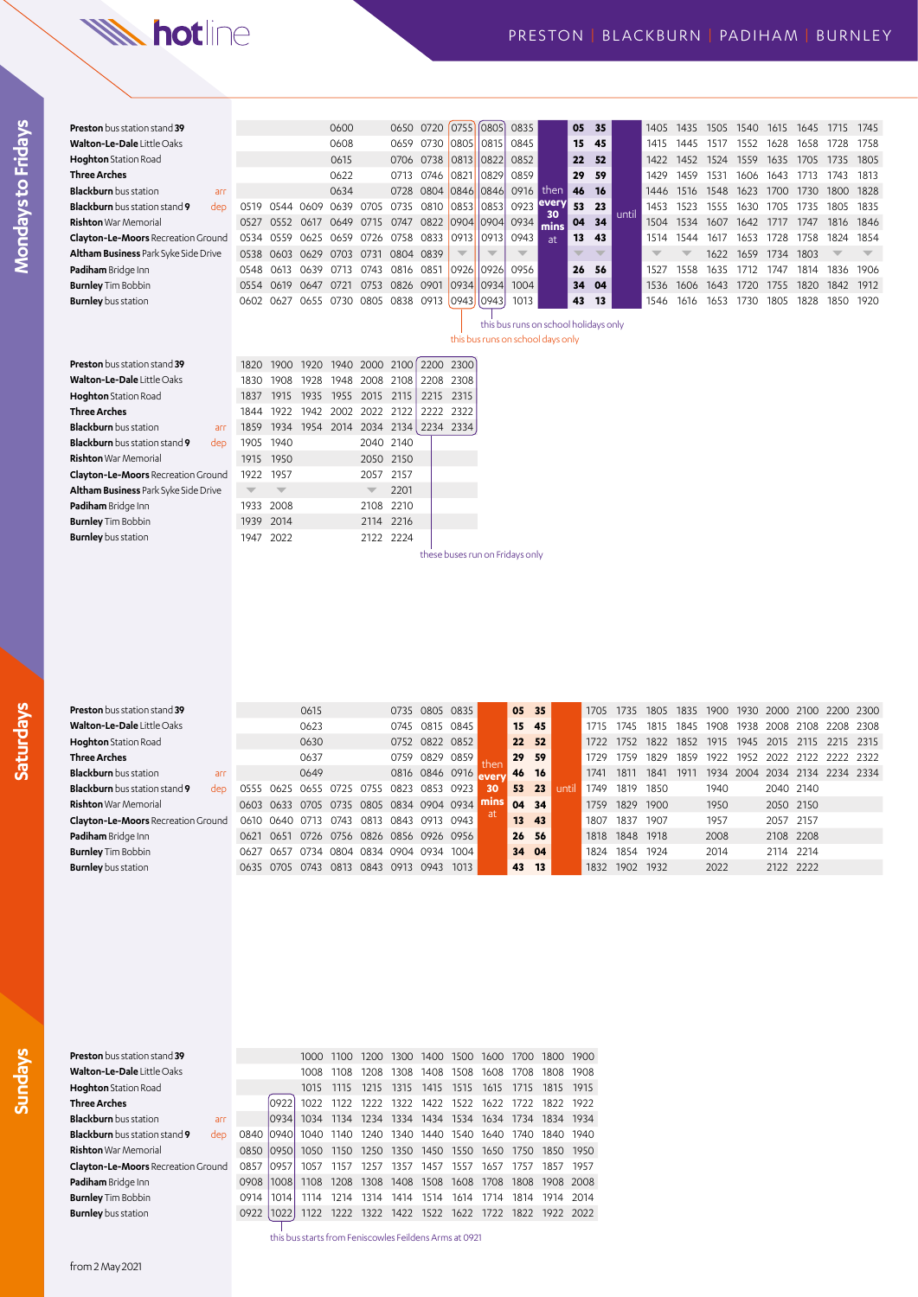# **W. hotline**

|                | ١ |  |
|----------------|---|--|
|                |   |  |
|                |   |  |
| $\overline{a}$ |   |  |
|                |   |  |
|                |   |  |
|                |   |  |
|                |   |  |
|                |   |  |
|                |   |  |
|                |   |  |
|                |   |  |
|                |   |  |
|                |   |  |
|                |   |  |
|                |   |  |
|                |   |  |
|                |   |  |

| <b>Preston</b> bus station stand 39         |                         |                         |           | 0600                               |                          | 0650      | 0720                | $\left[0755\right]\left[0805\right]$ |       | 0835                                  |            | 05                       | 35                       |       | 1405                     | 1435 | 1505 | 1540 | 1615 | 1645 | 1715                     | 1745                     |
|---------------------------------------------|-------------------------|-------------------------|-----------|------------------------------------|--------------------------|-----------|---------------------|--------------------------------------|-------|---------------------------------------|------------|--------------------------|--------------------------|-------|--------------------------|------|------|------|------|------|--------------------------|--------------------------|
| Walton-Le-Dale Little Oaks                  |                         |                         |           | 0608                               |                          | 0659      |                     | 0730 0805                            | 0815  | 0845                                  |            | 15                       | 45                       |       | 1415                     | 1445 | 1517 | 1552 | 1628 | 1658 | 1728                     | 1758                     |
| <b>Hoghton</b> Station Road                 |                         |                         |           | 0615                               |                          |           | 0706 0738           | 0813                                 | 0822  | 0852                                  |            | 22                       | 52                       |       | 1422                     | 1452 | 1524 | 1559 | 1635 | 1705 | 1735                     | 1805                     |
| <b>Three Arches</b>                         |                         |                         |           | 0622                               |                          | 0713      | 0746                | 0821                                 | 0829  | 0859                                  |            | 29                       | 59                       |       | 1429                     | 1459 | 1531 | 1606 | 1643 | 1713 | 1743                     | 1813                     |
| <b>Blackburn</b> bus station<br>arr         |                         |                         |           | 0634                               |                          | 0728      | 0804 0846           |                                      | 0846  | 0916                                  | then       | 46                       | <b>16</b>                |       | 1446                     | 1516 | 1548 | 1623 | 1700 | 1730 | 1800                     | 1828                     |
| Blackburn bus station stand 9<br>dep        | 0519                    |                         | 0544 0609 | 0639                               | 0705 0735                |           | 0810 0853           |                                      | 0853  | 0923 every                            |            | 53                       | 23                       | until | 1453                     | 1523 | 1555 | 1630 | 1705 | 1735 | 1805                     | 1835                     |
| <b>Rishton</b> War Memorial                 | 0527                    | 0552                    |           | 0617 0649                          | 0715 0747                |           |                     | 0822 0904 0904                       |       | 0934                                  | 30<br>mins | 04                       | 34                       |       | 1504                     | 1534 | 1607 | 1642 | 1717 | 1747 | 1816                     | 1846                     |
| <b>Clayton-Le-Moors Recreation Ground</b>   | 0534                    |                         |           | 0559 0625 0659 0726 0758 0833 0913 |                          |           |                     |                                      | 0913  | 0943                                  | at         | 13                       | 43                       |       | 1514                     | 1544 | 1617 | 1653 | 1728 | 1758 | 1824                     | 1854                     |
| Altham Business Park Syke Side Drive        | 0538                    | 0603                    | 0629      | 0703                               | 0731                     | 0804 0839 |                     | $\overline{\phantom{a}}$             |       | $\overline{\phantom{a}}$              |            | $\overline{\phantom{a}}$ | $\overline{\phantom{a}}$ |       | $\overline{\phantom{a}}$ |      | 1622 | 1659 | 1734 | 1803 | $\overline{\phantom{a}}$ | $\overline{\phantom{a}}$ |
| Padiham Bridge Inn                          | 0548                    | 0613                    | 0639      | 0713                               | 0743                     | 0816 0851 |                     | 0926                                 | 0926  | 0956                                  |            | 26                       | 56                       |       | 1527                     | 1558 | 1635 | 1712 | 1747 | 1814 | 1836                     | 1906                     |
| <b>Burnley</b> Tim Bobbin                   | 0554                    | 0619                    | 0647 0721 |                                    |                          |           | 0753 0826 0901 0934 |                                      | 10934 | 1004                                  |            | 34                       | 04                       |       | 1536                     | 1606 | 1643 | 1720 | 1755 | 1820 | 1842                     | 1912                     |
| <b>Burnley</b> bus station                  |                         | 0602 0627               |           | 0655 0730 0805 0838 0913 0943 0943 |                          |           |                     |                                      |       | 1013                                  |            | 43                       | 13                       |       | 1546                     | 1616 | 1653 | 1730 | 1805 | 1828 | 1850                     | 1920                     |
|                                             |                         |                         |           |                                    |                          |           |                     |                                      |       | this bus runs on school holidays only |            |                          |                          |       |                          |      |      |      |      |      |                          |                          |
|                                             |                         |                         |           |                                    |                          |           |                     |                                      |       | this bus runs on school days only     |            |                          |                          |       |                          |      |      |      |      |      |                          |                          |
|                                             |                         |                         |           |                                    |                          |           |                     |                                      |       |                                       |            |                          |                          |       |                          |      |      |      |      |      |                          |                          |
| <b>Preston</b> bus station stand 39         | 1820                    | 1900                    | 1920      | 1940                               | 2000 2100                |           |                     | 2200 2300                            |       |                                       |            |                          |                          |       |                          |      |      |      |      |      |                          |                          |
| Walton-Le-Dale Little Oaks                  | 1830                    | 1908                    | 1928      | 1948                               | 2008 2108                |           | 2208 2308           |                                      |       |                                       |            |                          |                          |       |                          |      |      |      |      |      |                          |                          |
| <b>Hoghton</b> Station Road                 | 1837                    | 1915                    | 1935      | 1955                               | 2015 2115                |           | 2215 2315           |                                      |       |                                       |            |                          |                          |       |                          |      |      |      |      |      |                          |                          |
| <b>Three Arches</b>                         | 1844                    | 1922                    | 1942      | 2002                               | 2022 2122                |           | 2222                | 2322                                 |       |                                       |            |                          |                          |       |                          |      |      |      |      |      |                          |                          |
| <b>Blackburn</b> bus station<br>arr         | 1859                    | 1934                    | 1954 2014 |                                    | 2034 2134 2234 2334      |           |                     |                                      |       |                                       |            |                          |                          |       |                          |      |      |      |      |      |                          |                          |
| <b>Blackburn</b> bus station stand 9<br>dep | 1905                    | 1940                    |           |                                    |                          | 2040 2140 |                     |                                      |       |                                       |            |                          |                          |       |                          |      |      |      |      |      |                          |                          |
| <b>Rishton</b> War Memorial                 | 1915                    | 1950                    |           |                                    | 2050 2150                |           |                     |                                      |       |                                       |            |                          |                          |       |                          |      |      |      |      |      |                          |                          |
| <b>Clayton-Le-Moors Recreation Ground</b>   | 1922                    | 1957                    |           |                                    | 2057                     | 2157      |                     |                                      |       |                                       |            |                          |                          |       |                          |      |      |      |      |      |                          |                          |
| Altham Business Park Syke Side Drive        | $\overline{\mathbf{v}}$ | $\overline{\mathbb{V}}$ |           |                                    | $\overline{\phantom{a}}$ | 2201      |                     |                                      |       |                                       |            |                          |                          |       |                          |      |      |      |      |      |                          |                          |
| Padiham Bridge Inn                          | 1933                    | 2008                    |           |                                    | 2108                     | 2210      |                     |                                      |       |                                       |            |                          |                          |       |                          |      |      |      |      |      |                          |                          |
| <b>Burnley</b> Tim Bobbin                   | 1939                    | 2014                    |           |                                    | 2114 2216                |           |                     |                                      |       |                                       |            |                          |                          |       |                          |      |      |      |      |      |                          |                          |
| <b>Burnley</b> bus station                  | 1947                    | 2022                    |           |                                    |                          | 2122 2224 |                     |                                      |       |                                       |            |                          |                          |       |                          |      |      |      |      |      |                          |                          |
|                                             |                         |                         |           |                                    |                          |           |                     |                                      |       | these buses run on Fridays only       |            |                          |                          |       |                          |      |      |      |      |      |                          |                          |

| <b>Preston</b> bus station stand 39         |      |           | 0615                          |      |           | 0735                |           | 0805 0835      |              | 05 | 35        |      | 1705 | 735       | 1805 | 1835 | 1900 | 1930 | 2000 2100 |      | 2200 2300 |      |
|---------------------------------------------|------|-----------|-------------------------------|------|-----------|---------------------|-----------|----------------|--------------|----|-----------|------|------|-----------|------|------|------|------|-----------|------|-----------|------|
| <b>Walton-Le-Dale</b> Little Oaks           |      |           | 0623                          |      |           | 0745                | 0815      | 0845           |              | 15 | 45        |      |      | 745       | 1815 | 1845 | 1908 | 1938 | 2008      | 2108 | 2208      | 2308 |
| <b>Hoghton</b> Station Road                 |      |           | 0630                          |      |           |                     | 0752 0822 | 0852           |              |    | 22 52     |      | 1722 | 1752.     | 1822 | 1852 | 1915 | 1945 | 2015      | 2115 | 2215 2315 |      |
| <b>Three Arches</b>                         |      |           | 0637                          |      |           | 0759                | 0829      | 0859           |              | 29 | - 59      |      | 1729 | 1759      | 1829 | 1859 | 1922 | 1952 | 2022      | 2122 | 2222      | 2322 |
| <b>Blackburn</b> bus station<br>arr         |      |           | 0649                          |      |           |                     |           | 0816 0846 0916 | <b>Lever</b> | 46 | <b>16</b> |      | 1741 | 1811      | 1841 | 191  | 1934 | 2004 | 2034      | 2134 | 2234 2334 |      |
| <b>Blackburn</b> bus station stand 9<br>dep | 0555 | 0625      | 0655                          | 0725 | 0755      | 0823                | 0853      | 0923           | 30           | 53 | 23        | unti | 1749 | 1819      | 1850 |      | 1940 |      | 2040 2140 |      |           |      |
| <b>Rishton</b> War Memorial                 |      | 0603 0633 | 0705 0735 0805 0834 0904 0934 |      |           |                     |           |                |              | 04 | 34        |      | 1759 | 1829      | 1900 |      | 1950 |      | 2050 2150 |      |           |      |
| <b>Clayton-Le-Moors</b> Recreation Ground   | 0610 | 0640 0713 |                               | 0743 | 0813      | 0843                | 0913      | 0943           | at           | 13 | 43        |      | 1807 | 1837      | 1907 |      | 1957 |      | 2057      | 2157 |           |      |
| Padiham Bridge Inn                          | 0621 | 0651      | 0726                          |      | 0756 0826 |                     |           | 0856 0926 0956 |              | 26 | -56       |      | 1818 | 1848 1918 |      |      | 2008 |      | 2108 2208 |      |           |      |
| <b>Burnley</b> Tim Bobbin                   | 0627 | 0657      | 0734                          |      |           | 0804 0834 0904 0934 |           | 1004           |              | 34 | 04        |      | 1824 | 1854      | 1924 |      | 2014 |      | 2114 2214 |      |           |      |
| <b>Burnley</b> bus station                  | 0635 | 0705      | 0743                          | 0813 | 0843      | 0913                | 0943      | 1013.          |              | 43 | 13        |      | 1832 | 1902      | 1932 |      | 2022 |      | 2122 2222 |      |           |      |
|                                             |      |           |                               |      |           |                     |           |                |              |    |           |      |      |           |      |      |      |      |           |      |           |      |

**Saturdays**

| Preston bus station stand 39                |           |       |      | 1000 1100 | 1200 |      |                | 1300 1400 1500 1600 1700 1800 1900                |           |      |
|---------------------------------------------|-----------|-------|------|-----------|------|------|----------------|---------------------------------------------------|-----------|------|
| <b>Walton-Le-Dale</b> Little Oaks           |           |       |      | 1008 1108 | 1208 | 1308 | 1408 1508 1608 |                                                   | 1708 1808 | 1908 |
| <b>Hoghton</b> Station Road                 |           |       | 1015 | 1115      | 1215 | 1315 | 1415 1515      | 1615                                              | 1715 1815 | 1915 |
| Three Arches                                |           | 09221 |      |           |      |      |                | 1022 1122 1222 1322 1422 1522 1622 1722 1822 1922 |           |      |
| <b>Blackburn</b> bus station<br>arr         |           | 0934  |      |           |      |      |                | 1034 1134 1234 1334 1434 1534 1634 1734 1834 1934 |           |      |
| <b>Blackburn</b> bus station stand 9<br>dep | 0840 0940 |       |      |           |      |      |                | 1040 1140 1240 1340 1440 1540 1640 1740 1840 1940 |           |      |
| <b>Rishton</b> War Memorial                 | 0850 0950 |       |      |           |      |      |                | 1050 1150 1250 1350 1450 1550 1650 1750 1850      |           | 1950 |
| Clayton-Le-Moors Recreation Ground          | 0857      | 0957  | 1057 | 1157 1257 |      | 1357 |                | 1457 1557 1657 1757 1857                          |           | 1957 |
| <b>Padiham</b> Bridge Inn                   | 0908      | 1008  |      |           |      |      |                | 1108 1208 1308 1408 1508 1608 1708 1808 1908 2008 |           |      |
| <b>Burnley</b> Tim Bobbin                   | 0914      | 1014  | 1114 | 1214      | 1314 |      |                | 1414 1514 1614 1714 1814 1914                     |           | 2014 |
| <b>Burnley</b> bus station                  | 0922      | 1022  |      |           |      |      |                | 1122 1222 1322 1422 1522 1622 1722 1822 1922 2022 |           |      |

this bus starts from Feniscowles Feildens Arms at 0921